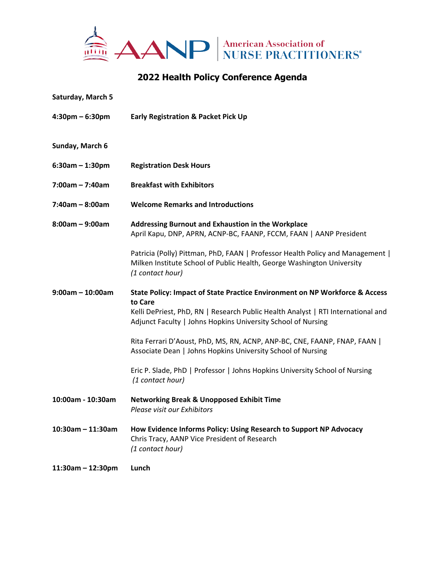

## **2022 Health Policy Conference Agenda**

| Saturday, March 5                 |                                                                                                                                                                                                                                            |
|-----------------------------------|--------------------------------------------------------------------------------------------------------------------------------------------------------------------------------------------------------------------------------------------|
| $4:30 \text{pm} - 6:30 \text{pm}$ | <b>Early Registration &amp; Packet Pick Up</b>                                                                                                                                                                                             |
| Sunday, March 6                   |                                                                                                                                                                                                                                            |
| $6:30am - 1:30pm$                 | <b>Registration Desk Hours</b>                                                                                                                                                                                                             |
| $7:00am - 7:40am$                 | <b>Breakfast with Exhibitors</b>                                                                                                                                                                                                           |
| 7:40am - 8:00am                   | <b>Welcome Remarks and Introductions</b>                                                                                                                                                                                                   |
| $8:00$ am – 9:00am                | Addressing Burnout and Exhaustion in the Workplace<br>April Kapu, DNP, APRN, ACNP-BC, FAANP, FCCM, FAAN   AANP President                                                                                                                   |
|                                   | Patricia (Polly) Pittman, PhD, FAAN   Professor Health Policy and Management  <br>Milken Institute School of Public Health, George Washington University<br>(1 contact hour)                                                               |
| $9:00am - 10:00am$                | State Policy: Impact of State Practice Environment on NP Workforce & Access<br>to Care<br>Kelli DePriest, PhD, RN   Research Public Health Analyst   RTI International and<br>Adjunct Faculty   Johns Hopkins University School of Nursing |
|                                   | Rita Ferrari D'Aoust, PhD, MS, RN, ACNP, ANP-BC, CNE, FAANP, FNAP, FAAN  <br>Associate Dean   Johns Hopkins University School of Nursing                                                                                                   |
|                                   | Eric P. Slade, PhD   Professor   Johns Hopkins University School of Nursing<br>(1 contact hour)                                                                                                                                            |
| 10:00am - 10:30am                 | <b>Networking Break &amp; Unopposed Exhibit Time</b><br>Please visit our Exhibitors                                                                                                                                                        |
| $10:30$ am - 11:30am              | How Evidence Informs Policy: Using Research to Support NP Advocacy<br>Chris Tracy, AANP Vice President of Research<br>(1 contact hour)                                                                                                     |
| $11:30$ am – 12:30pm              | Lunch                                                                                                                                                                                                                                      |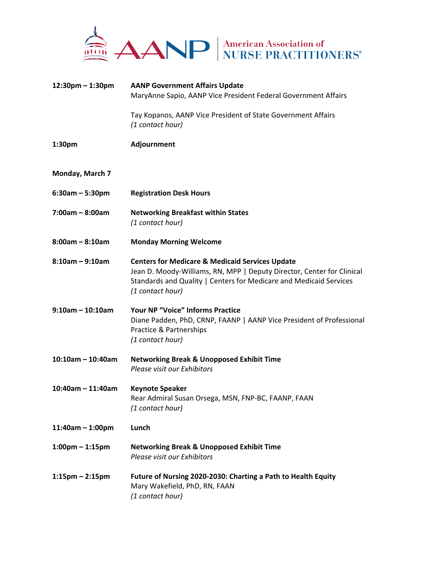

| $12:30$ pm – 1:30pm   | <b>AANP Government Affairs Update</b><br>MaryAnne Sapio, AANP Vice President Federal Government Affairs                                                                                                                        |
|-----------------------|--------------------------------------------------------------------------------------------------------------------------------------------------------------------------------------------------------------------------------|
|                       | Tay Kopanos, AANP Vice President of State Government Affairs<br>(1 contact hour)                                                                                                                                               |
| 1:30 <sub>pm</sub>    | Adjournment                                                                                                                                                                                                                    |
| Monday, March 7       |                                                                                                                                                                                                                                |
| $6:30am - 5:30pm$     | <b>Registration Desk Hours</b>                                                                                                                                                                                                 |
| $7:00am - 8:00am$     | <b>Networking Breakfast within States</b><br>(1 contact hour)                                                                                                                                                                  |
| $8:00am - 8:10am$     | <b>Monday Morning Welcome</b>                                                                                                                                                                                                  |
| $8:10$ am - 9:10am    | <b>Centers for Medicare &amp; Medicaid Services Update</b><br>Jean D. Moody-Williams, RN, MPP   Deputy Director, Center for Clinical<br>Standards and Quality   Centers for Medicare and Medicaid Services<br>(1 contact hour) |
| $9:10$ am - 10:10am   | <b>Your NP "Voice" Informs Practice</b><br>Diane Padden, PhD, CRNP, FAANP   AANP Vice President of Professional<br>Practice & Partnerships<br>(1 contact hour)                                                                 |
| $10:10$ am - 10:40am  | <b>Networking Break &amp; Unopposed Exhibit Time</b><br>Please visit our Exhibitors                                                                                                                                            |
| $10:40$ am - 11:40am  | <b>Keynote Speaker</b><br>Rear Admiral Susan Orsega, MSN, FNP-BC, FAANP, FAAN<br>(1 contact hour)                                                                                                                              |
| $11:40$ am - 1:00pm   | Lunch                                                                                                                                                                                                                          |
| $1:00$ pm – $1:15$ pm | <b>Networking Break &amp; Unopposed Exhibit Time</b><br>Please visit our Exhibitors                                                                                                                                            |
| $1:15$ pm – 2:15pm    | Future of Nursing 2020-2030: Charting a Path to Health Equity<br>Mary Wakefield, PhD, RN, FAAN<br>(1 contact hour)                                                                                                             |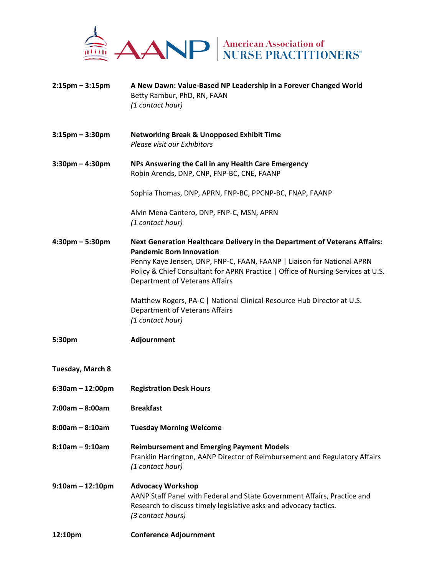

| $2:15$ pm – $3:15$ pm | A New Dawn: Value-Based NP Leadership in a Forever Changed World<br>Betty Rambur, PhD, RN, FAAN<br>(1 contact hour)                                                                                                                                                                                           |
|-----------------------|---------------------------------------------------------------------------------------------------------------------------------------------------------------------------------------------------------------------------------------------------------------------------------------------------------------|
| $3:15$ pm – $3:30$ pm | <b>Networking Break &amp; Unopposed Exhibit Time</b><br>Please visit our Exhibitors                                                                                                                                                                                                                           |
| $3:30$ pm – 4:30pm    | NPs Answering the Call in any Health Care Emergency<br>Robin Arends, DNP, CNP, FNP-BC, CNE, FAANP                                                                                                                                                                                                             |
|                       | Sophia Thomas, DNP, APRN, FNP-BC, PPCNP-BC, FNAP, FAANP                                                                                                                                                                                                                                                       |
|                       | Alvin Mena Cantero, DNP, FNP-C, MSN, APRN<br>(1 contact hour)                                                                                                                                                                                                                                                 |
| $4:30$ pm – 5:30pm    | Next Generation Healthcare Delivery in the Department of Veterans Affairs:<br><b>Pandemic Born Innovation</b><br>Penny Kaye Jensen, DNP, FNP-C, FAAN, FAANP   Liaison for National APRN<br>Policy & Chief Consultant for APRN Practice   Office of Nursing Services at U.S.<br>Department of Veterans Affairs |
|                       | Matthew Rogers, PA-C   National Clinical Resource Hub Director at U.S.<br>Department of Veterans Affairs<br>(1 contact hour)                                                                                                                                                                                  |
| 5:30pm                | Adjournment                                                                                                                                                                                                                                                                                                   |
| Tuesday, March 8      |                                                                                                                                                                                                                                                                                                               |
| $6:30am - 12:00pm$    | <b>Registration Desk Hours</b>                                                                                                                                                                                                                                                                                |
| 7:00am - 8:00am       | <b>Breakfast</b>                                                                                                                                                                                                                                                                                              |
| $8:00am - 8:10am$     | <b>Tuesday Morning Welcome</b>                                                                                                                                                                                                                                                                                |
| $8:10am - 9:10am$     | <b>Reimbursement and Emerging Payment Models</b><br>Franklin Harrington, AANP Director of Reimbursement and Regulatory Affairs<br>(1 contact hour)                                                                                                                                                            |
| $9:10$ am - 12:10pm   | <b>Advocacy Workshop</b><br>AANP Staff Panel with Federal and State Government Affairs, Practice and<br>Research to discuss timely legislative asks and advocacy tactics.<br>(3 contact hours)                                                                                                                |
| 12:10pm               | <b>Conference Adjournment</b>                                                                                                                                                                                                                                                                                 |